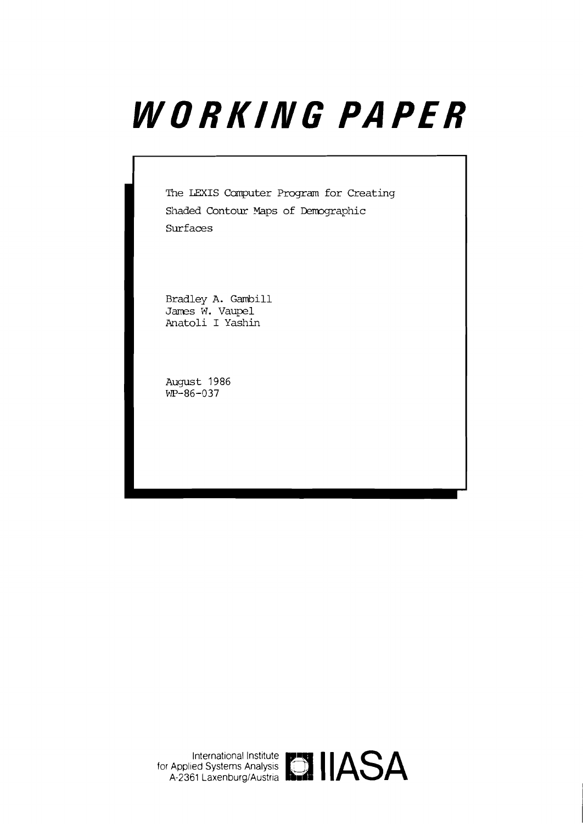# WORKING PAPER

The **LFXIS** Computer Program for Creating Shaded Contour Maps of Demographic **Surfaces** 

Bradley A. Gambill James W. Vaupel Anatoli I Yashin

August 1986  $WP-86-037$ 

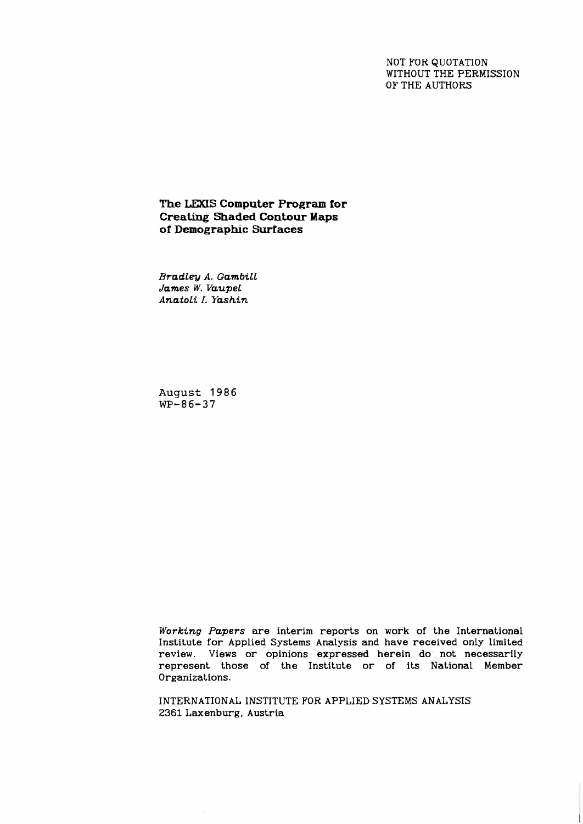NOT FOR QUOTATION WITHOUT THE PERMISSION OF THE AUTHORS

# **The LEXIS Computer Program for Creating Shaded Contour Maps of Demographic Surfaces**

*Bradley A. GambiLL James W. VaupeL AnatoLi I. Yashin* 

**August 1986 WP-86-37** 

*Working Papers* are interim reports on work of the International Institute for Applied Systems Analysis and have received only limited review. Views or opinions expressed herein do' not necessarily represent those of the Institute or of its National Member Organizations.

INTERNATIONAL INSTITUTE FOR APPLIED SYSTEMS ANALYSIS 2361 Laxenburg, Austria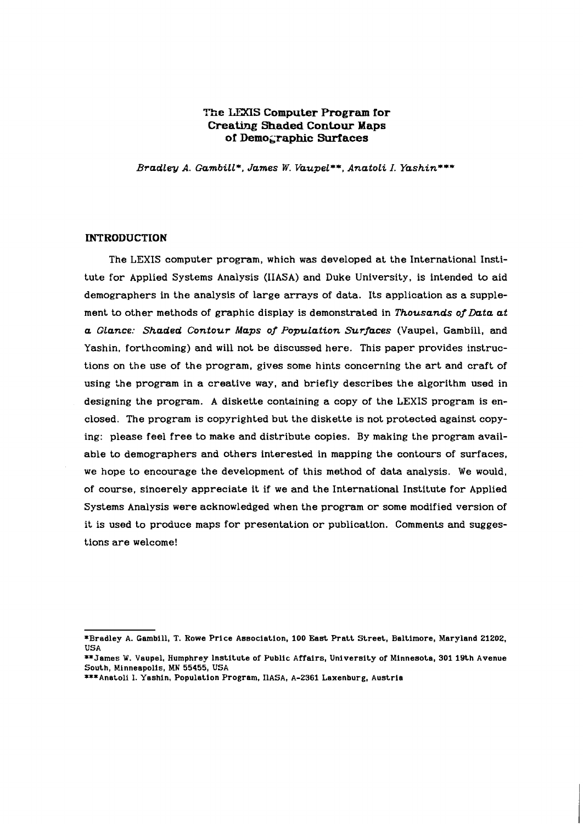# **The LEXIS Computer Program for Creating Shaded Contour Maps oT Demo~raphic Suriaces**

*Bradley A. Gumbill\*, James W. VaupeL\*\*, Anatoli I. Yashine\*\** 

# **INTRODUCTION**

The LEXIS computer program, which was developed at the International Institute for Applied Systems Analysis (IIASA) and Duke University, is intended to aid demographers in the analysis of large arrays of data. Its application as a supplement to other methods of graphic display is demonstrated in *Thousands of Data at a GLance: Shaded Contour Maps of PopuLation Surfaces* (Vaupel. Gambill, and Yashin, forthcoming) and will not be discussed here. This paper provides instructions on the use of the program, gives some hints concerning the art and craft of using the program in a creative way, and briefly describes the algorithm used in designing the program. A diskette containing a copy of the LEXIS program is enclosed. The program is copyrighted but the diskette is not protected against copying: please feel free to make and distribute copies. By making the program available to demographers and others interested in mapping the contours of surfaces, we hope to encourage the development of this method of data analysis. We would, of course, sincerely appreciate it if we and the International Institute for Applied Systems Analysis were acknowledged when the program or some modified version of it is used to produce maps for presentation or publication. Comments and suggestions are welcome!

**<sup>\*</sup>Bradley A. Cambill, T. Rowe Price Association,** 100 **East Pratt Street, Baltimore, Maryland** 21202, **USA** 

**<sup>\*\*</sup>James** W. **Vaupel, Humphrey institute of Public Affairs, University of Minnesota,** 301 **19th Avenue South, Minneapolis, MN 55455, USA** 

**<sup>\*\*\*</sup>Anatolf** 1. **Yashin, Population Program, IlASA,** A-2361 **Laxenburg, Austria**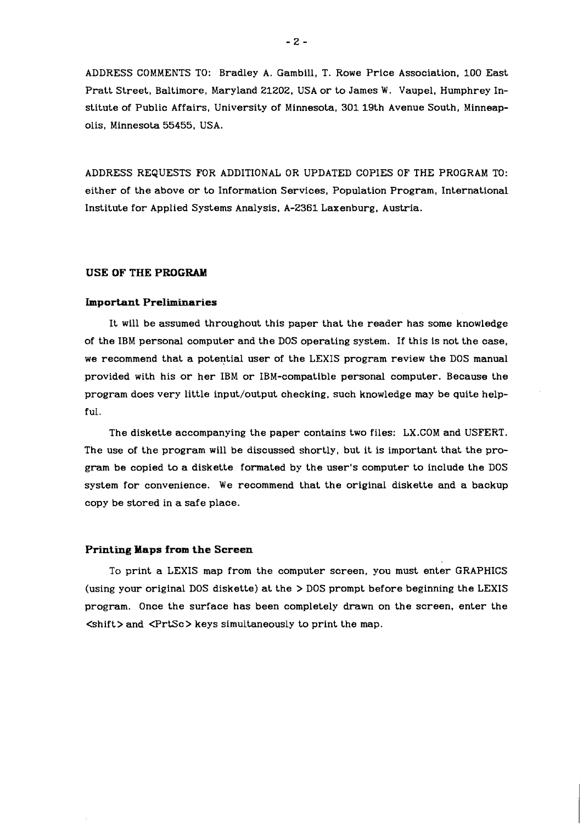ADDRESS COMMENTS TO: Bradley A. Gambill, T. Rowe Price Association, 100 East Pratt Street, Baltimore, Maryland 21202, USA or to James W. Vaupel, Humphrey Institute of Public Affairs, University of Minnesota, 301 19th Avenue South, Minneapolis, Minnesota 55455, USA.

ADDRESS REQUESTS FOR ADDITIONAL OR UPDATED COPIES OF THE PROGRAM TO: either of the above or to Information Services, Population Program, International Institute for Applied Systems Analysis, A-2361 Laxenburg, Austria.

# **USE OF THE PROGRAM**

#### **Important Preliminaries**

It will be assumed throughout this paper that the reader has some knowledge of the IBM personal computer and the DOS operating system. If this is not the case, we recommend that a potential user of the LEXIS program review the DOS manual provided with his or her IBM or IBM-compatible personal computer. Because the program does very little input/output checking, such knowledge may be quite helpful.

The diskette accompanying the paper contains two files: LX.COM and USFERT. The use of the program will be discussed shortly, but it is important that the program be copied to a diskette formated by the user's computer to include the DOS system for convenience. We recommend that the original diskette and a backup copy be stored in a safe place.

## **Printing Haps from the Screen**

To print a LEXIS map from the computer screen, you must enter GRAPHICS (using your original DOS diskette) at the > DOS prompt before beginning the LEXIS program. Once the surface has been completely drawn on the screen, enter the <shift> and <PrtSc> keys simultaneously to print the map.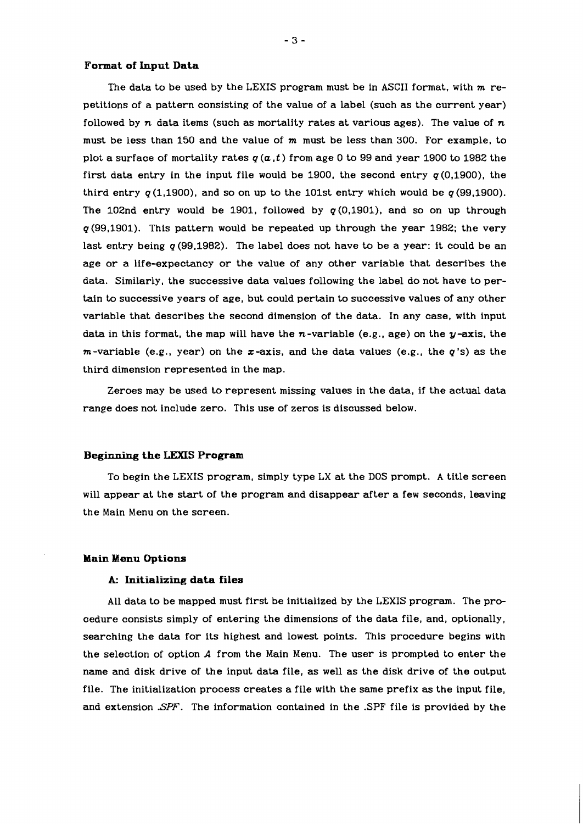#### **Format of Input Data**

The data to be used by the LEXIS program must be in ASCII format, with  $m$  repetitions of a pattern consisting of the value of a label (such as the current year) followed by  $n$  data items (such as mortality rates at various ages). The value of  $n$ must be less than 150 and the value of **m** must be less than 300. For example, to plot a surface of mortality rates  $q(a, t)$  from age 0 to 99 and year 1900 to 1982 the first data entry in the input file would be 1900, the second entry  $q(0,1900)$ , the third entry  $q(1,1900)$ , and so on up to the 101st entry which would be  $q(99,1900)$ . The 102nd entry would be 1901, followed by  $q(0,1901)$ , and so on up through  $q(99,1901)$ . This pattern would be repeated up through the year 1982; the very last entry being  $q(99,1982)$ . The label does not have to be a year: it could be an age or a life-expectancy or the value of any other variable that describes the data. Similarly, the successive data values following the label do not have to pertain to successive years of age, but could pertain to successive values of any other variable that describes the second dimension of the data. In any case, with input data in this format, the map will have the  $n$ -variable (e.g., age) on the  $y$ -axis, the  $m$ -variable (e.g., year) on the  $x$ -axis, and the data values (e.g., the  $q$ 's) as the third dimension represented in the map.

Zeroes may be used to represent missing values in the data, if the actual data range does not include zero. This use of zeros is discussed below.

# **Beginning the LEXIS Program**

To begin the LEXIS program, simply type LX at the DOS prompt. A title screen will appear at the start of the program and disappear after a few seconds, leaving the Main Menu on the screen.

## **Main Menu Options**

#### **A: Initializing data files**

All data to be mapped must first be initialized by the LEXIS program. The procedure consists simply of entering the dimensions of the data file, and, optionally, searching the data for its highest and lowest points. This procedure begins with the selection of option A from the Main Menu. The user is prompted to enter the name and disk drive of the input data file, as well as the disk drive of the output file. The initialization process creates a file with the same prefix as the input file, and extension **.SPF.** The information contained in the .SPF file is provided by the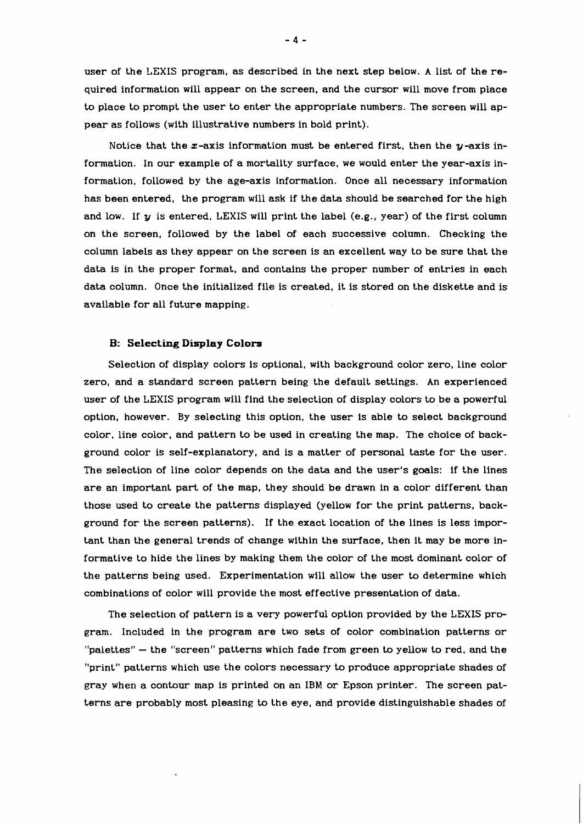user of the LEXIS program, as described in the next step below. A list of the required information will appear on the screen, and the cursor will move from place to place to prompt the user to enter the appropriate numbers. The screen will appear as follows (with illustrative numbers in bold print).

Notice that the x-axis information must be entered first, then the  $y$ -axis information. In our example of a mortality surface, we would enter the year-axis information, followed by the age-axis information. Once all necessary information has been entered, the program will ask if the data should be searched for the high and low. If  $y$  is entered, LEXIS will print the label (e.g., year) of the first column on the screen, followed by the label of each successive column. Checking the column labels as they appear on the screen is an excellent way to be sure that the data is in the proper format, and contains the proper number of entries in each data column. Once the initialized file is created. it is stored on the diskette and is available for all future mapping.

## **B: Selecting Display Colors**

Selection of display colors is optional, with background color zero, line color zero, and a standard screen pattern being the default settings. An experienced user of the LEXIS program will find the selection of display colors to be a powerful option, however. By selecting this option, the user is able to select background color, line color, and pattern to be used in creating the map. The choice of background color is self-explanatory, and is a matter of personal taste for the user. The selection of line color depends on the data and the user's goals: if the lines are an important part of the map, they should be drawn in a color different than those used to create the patterns displayed (yellow for the print patterns, background for the screen patterns). If the exact location of the lines is less important than the general trends of change within the surface, then it may be more informative to hide the lines by making them the color of the most dominant color of the patterns being used. Experimentation will allow the user to determine which combinations of color will provide the most effective presentation of data.

The selection of pattern is a very powerful option provided by the LEXIS program. Included in the program are two sets of color combination patterns or  $"palettes" - the "screen" patterns which fade from green to yellow to red, and the$ "print" patterns which use the colors necessary to produce appropriate shades of gray when a contour map is printed on an IBM or Epson printer. The screen patterns are probably most pleasing to the eye, and provide distinguishable shades of

 $-4-$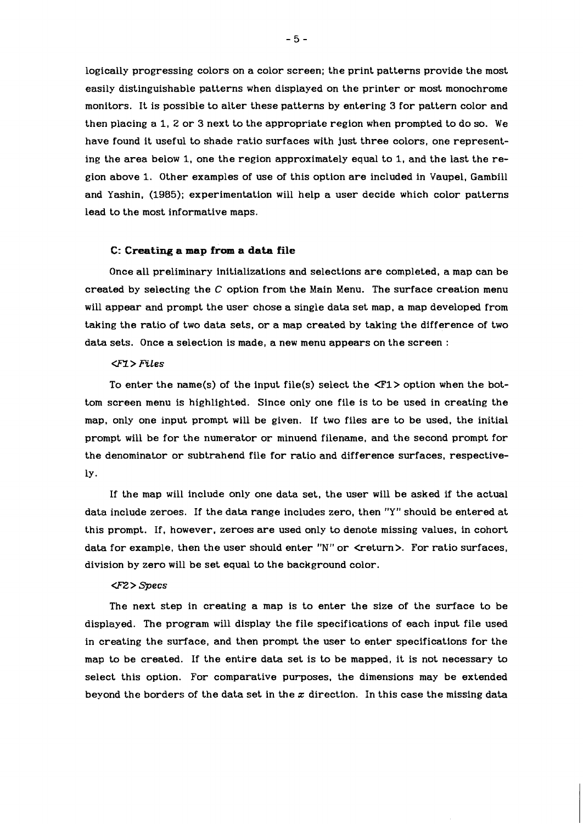logically progressing colors on a color screen; the print patterns provide the most easily distinguishable patterns when displayed on the printer or most monochrome monitors. It is possible to alter these patterns by entering 3 for pattern color and then placing a 1, 2 or 3 next to the appropriate region when prompted to do so. We have found it useful to shade ratio surfaces with just three colors, one representing the area below 1, one the region approximately equal to 1, and the last the region above 1. Other examples of use of this option are included in Vaupel, Gambill and Yashin. (1985); experimentation will help a user decide which color patterns lead to the most informative maps.

# **C: Creating a map from a data file**

Once all preliminary initializations and selections are completed, a map can be created by selecting the  $C$  option from the Main Menu. The surface creation menu will appear and prompt the user chose a single data set map, a map developed from taking the ratio of two data sets, or a map created by taking the difference of two data sets. Once a selection is made, a new menu appears on the screen :

# CFY> *FiLes*

To enter the name(s) of the input file(s) select the **<F1>** option when the bottom screen menu is highlighted. Since only one file is to be used in creating the map, only one input prompt will be given. If two files are to be used, the initial prompt will be for the numerator or minuend filename, and the second prompt for the denominator or subtrahend file for ratio and difference surfaces, respectively.

If the map will include only one data set, the user will be asked if the actual data include zeroes. If the data range includes zero, then **"Y"** should be entered at this prompt. If, however. zeroes are used only to denote missing values, in cohort data for example, then the user should enter "N" or <return>. For ratio surfaces, division by zero will be set equal to the background color.

## **<F2** > *aecs*

The next step in creating a map is to enter the size of the surface to be displayed. The program will display the file specifications of each input file used in creating the surface, and then prompt the user to enter specifications for the map to be created. If the entire data set is to be mapped, it is not necessary to select this option. For comparative purposes. the dimensions may be extended beyond the borders of the data set in the **z** direction. In this case the missing data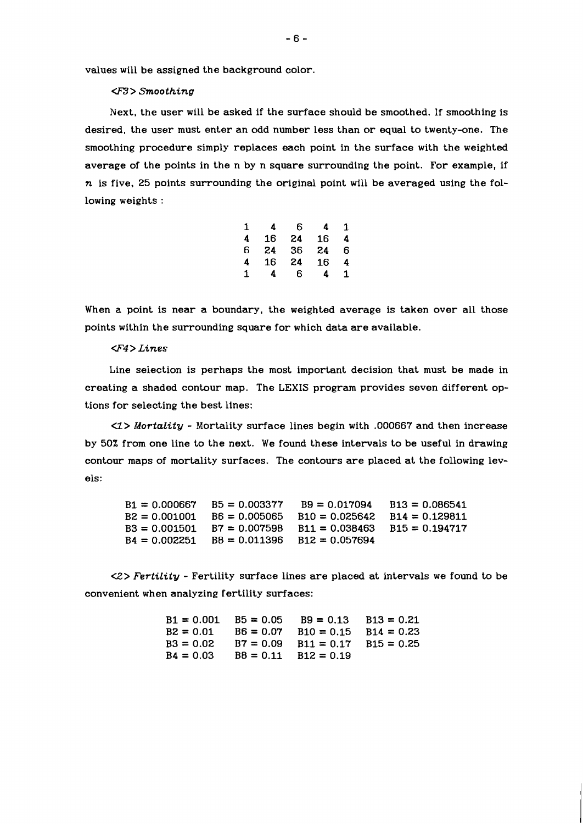values will be assigned the background color

# **G3>** *Smoothing*

Next, the user will be asked if the surface should be smoothed. If smoothing is desired, the user must enter an odd number less than or equal to twenty-one. The smoothing procedure simply replaces each point in the surface with the weighted average of the points in the n by n square surrounding the point. For example, if **n** is five, 25 points surrounding the original point will be averaged using the following weights :

| 4  | 6  | 4  | 1 |
|----|----|----|---|
| 16 | 24 | 16 | 4 |
| 24 | 36 | 24 | 6 |
| 16 | 24 | 16 | 4 |
| 4  | 6  | 4  | 1 |
|    |    |    |   |

When a point is near a boundary, the weighted average is taken over all those points within the surrounding square for which data are available.

#### **<F4** > *Lines*

Line selection is perhaps the most important decision that must be made in creating a shaded contour map. The LEXIS program provides seven different options for selecting the best lines:

*U> Mortality* - Mortality surface lines begin with .000667 and then increase by 50% from one line to the next. We found these intervals to be useful in drawing contour maps of mortality surfaces. The contours are placed at the following levels:

| B1 = 0.000667 | $BS = 0.003377$             | $B9 = 0.017094$  | $B13 = 0.086541$ |
|---------------|-----------------------------|------------------|------------------|
| B2 = 0.001001 | $BS = 0.005065$             | $B10 = 0.025642$ | $B14 = 0.129811$ |
| B3 = 0.001501 | $B7 = 0.007598$             | $B11 = 0.038463$ | $B15 = 0.194717$ |
|               | B4 = 0.002251 B8 = 0.011396 | $B12 = 0.057694$ |                  |

(2> *Fertility* - Fertility surface lines are placed at intervals we found to be convenient when analyzing fertility surfaces:

|             | $B1 = 0.001$ $B5 = 0.05$ | $B9 = 0.13$ $B13 = 0.21$              |  |
|-------------|--------------------------|---------------------------------------|--|
| $B2 = 0.01$ |                          | $B6 = 0.07$ $B10 = 0.15$ $B14 = 0.23$ |  |
| $B3 = 0.02$ |                          | $B7 = 0.09$ $B11 = 0.17$ $B15 = 0.25$ |  |
| $B4 = 0.03$ |                          | $B8 = 0.11$ $B12 = 0.19$              |  |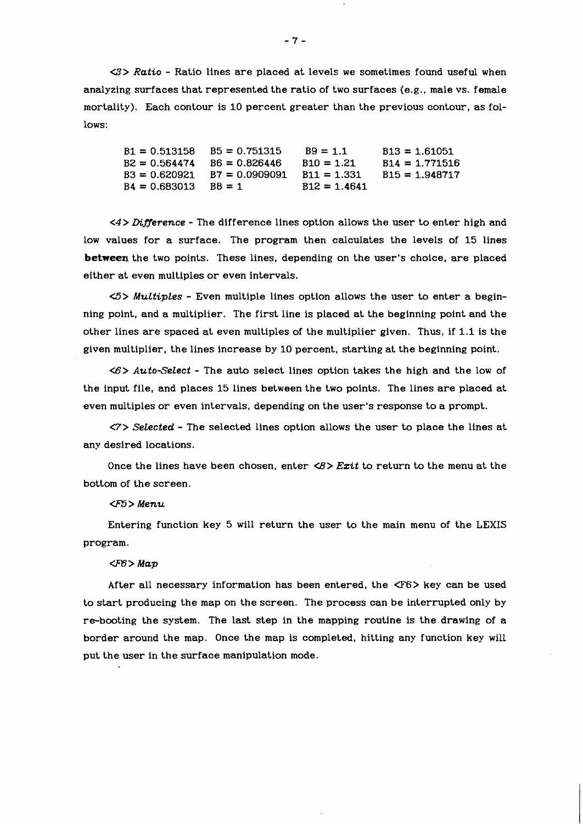(3> *Ratio* - Ratio lines are placed at levels we sometimes found useful when analyzing surfaces that represented the ratio of two surfaces (e.g., male vs. female mortality). Each contour is 10 percent greater than the previous contour, as follows:

 $B1 = 0.513158$  $B5 = 0.751315$  $B9 = 1.1$  $B13 = 1.61051$  $B2 = 0.564474$   $B6 = 0.826446$  $B10 = 1.21$  $B14 = 1.771516$  $B3 = 0.620921$   $B7 = 0.0909091$  $B11 = 1.331$  $B15 = 1.948717$  $B4 = 0.683013$  $B8 = 1$  $B12 = 1.4641$ 

*<4> Dineerence* - The difference lines option allows the user to enter high and low values for a surface. The program then calculates the levels of 15 lines **.between** the two points. These lines, depending on the user's choice, are placed either at even multiples or even intervals.

**<5>** *MuLtipLes* - Even multiple lines option allows the user to enter a beginning point, and a multiplier. The first line is placed at the beginning point and the other lines are spaced at even multiples of the multiplier given. Thus, if 1.1 is the given multiplier, the lines increase by 10 percent, starting at the beginning point.

(6> *Auto-SeLect* - The auto select lines option takes the high and the low of the input file, and places 15 lines between the two points. The lines are placed at even multiples or even intervals, depending on the user's response to a prompt.

*<7> Selected* - The selected lines option allows the user to place the lines at any desired locations.

Once the lines have been chosen, enter <8> *Ezit* to return to the menu at the bottom of the screen.

#### **UB** > *Menu*

Entering function key 5 will return the user to the main menu of the LEXIS program.

#### **U%>** *Map*

After all necessary information has been entered, the <F6> key can be used to start producing the map on the screen. The process can be interrupted only by re-booting the system. The last step in the mapping routine is the drawing of a border around the map. Once the map is completed, hitting any function key will put the user in the surface manipulation mode.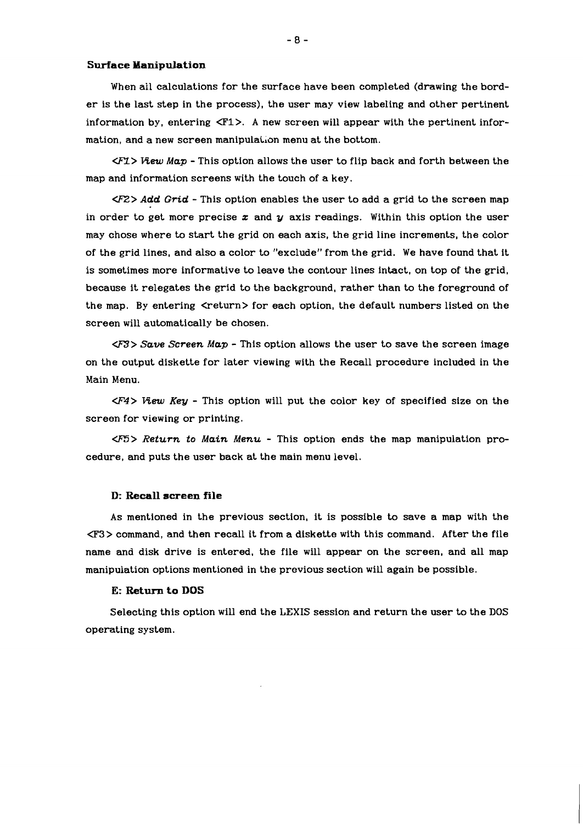#### **Surface Manipulation**

When all calculations for the surface have been completed (drawing the border is the last step in the process), the user may view labeling and other pertinent information by, entering  $\langle F1 \rangle$ . A new screen will appear with the pertinent information, and a new screen manipulation menu at the bottom.

**<F1> View** *Map* - This option allows the user to flip back and forth between the map and information screens with the touch of a key.

**<FZ>** *Add Grid* - This option enables the user to add a grid to the screen map in order to get more precise z and *y* axis readings. Within this option the user may chose where to start the grid on each axis, the grid line increments, the color of the grid lines, and also a color to "exclude" from the grid. We have found that it is sometimes more informative to leave the contour lines intact, on top of the grid, because it relegates the grid to the background, rather than to the foreground of the map. By entering <return> for each option, the default numbers listed on the screen will automatically be chosen.

-> *Save Screen Map* - This option allows the user to save the screen image on the output diskette for later viewing with the Recall procedure included in the Main Menu.

**U;rq> View** *Key* - This option will put the color key of specified size on the screen for viewing or printing.

-> *Return to Main Menu* - This option ends the map manipulation procedure, and puts the user back at the main menu level.

#### **D: Recall screen file**

As mentioned in the previous section, it is possible to save a map with the G3> command, and then recall it from a diskette with this command. After the file name and disk drive is entered, the file will appear on the screen, and all map manipulation options mentioned in the previous section will again be possible.

#### **E: Return to DOS**

Selecting this option will end the LEXIS session and return the user to the DOS operating system.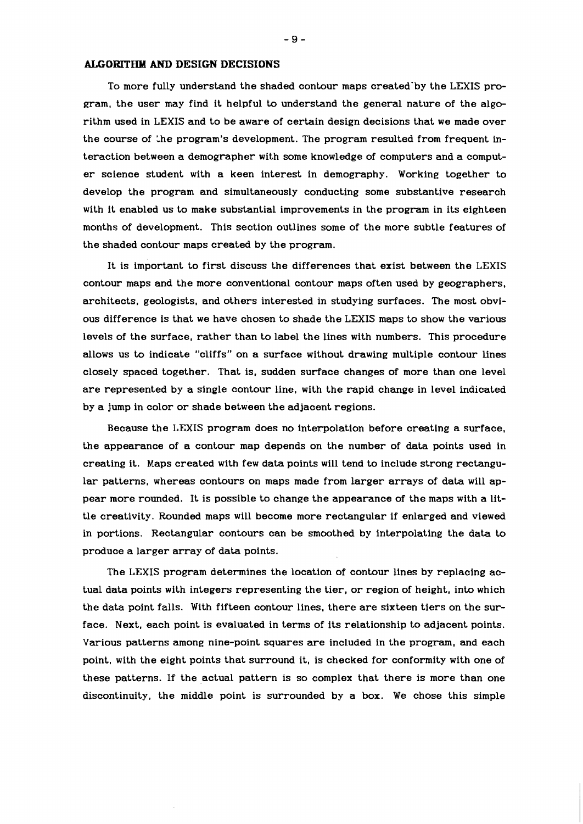# **ALGORITEIM AND DESIGN DECISIONS**

To more fully understand the shaded contour maps created-by the LEXIS program, the user may find it helpful to understand the general nature of the algorithm used in LEXIS and to be aware of certain design decisions that we made over the course of the program's development. The program resulted from frequent interaction between a demographer with some knowledge of computers and a computer science student with a keen interest in demography. Working together to develop the program and simultaneously conducting some substantive research with it enabled us to make substantial improvements in the program in its eighteen months of development. This section outlines some of the more subtle features of the shaded contour maps created by the program.

It is important to first discuss the differences that exist between the LEXIS contour maps and the more conventional contour maps often used by geographers, architects, geologists, and others interested in studying surfaces. The most obvious difference is that we have chosen to shade the LEXIS maps to show the various levels of the surface, rather than to label the lines with numbers. This procedure allows us to indicate "cliffs" on a surface without drawing multiple contour lines closely spaced together. That is, sudden surface changes of more than one level are represented by a single contour line, with the rapid change in level indicated by a jump in color or shade between the adjacent regions.

Because the LEXIS program does no interpolation before creating a surface, the appearance of a contour map depends on the number of data points used in creating it. Maps created with few data points will tend to include strong rectangular patterns, whereas contours on maps made from larger arrays of data will appear more rounded. It is possible to change the appearance of the maps with a little creativity. Rounded maps will become more rectangular if enlarged and viewed in portions. Rectangular contours can be smoothed by interpolating the data to produce a larger array of data points.

The LEXIS program determines the location of contour lines by replacing actual data points with integers representing the tier, or region of height, into which the data point falls. With fifteen contour lines. there are sixteen tiers on the surface. Next, each point is evaluated in terms of its relationship to adjacent points. Various patterns among nine-point squares are included in the program, and each point, with the eight points that surround it, is checked for conformity with one of these patterns. If the actual pattern is so complex that there is more than one discontinuity, the middle point is surrounded by a box. We chose this simple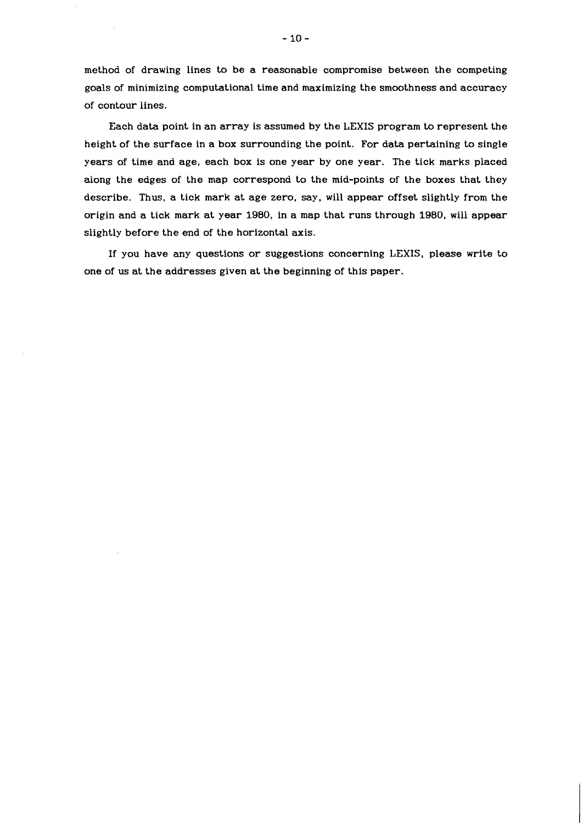method of drawing lines to be a reasonable compromise between the competing goals of minimizing computational time and maximizing the smoothness and accuracy of contour lines.

Each data point in an array is assumed by the LEXIS program to represent the height of the surface in a box surrounding the point. For data pertaining to single years of time and age, each box is one year by one year. The tick marks placed along the edges of the map correspond to the mid-points of the boxes that they describe. Thus, a tick mark at age zero, say, will appear offset slightly from the origin and a tick mark at year 1980, in a map that runs through 1980, will appear slightly before the end of the horizontal axis.

If you have any questions or suggestions concerning LEXIS, please write to one of us at the addresses given at the beginning of this paper.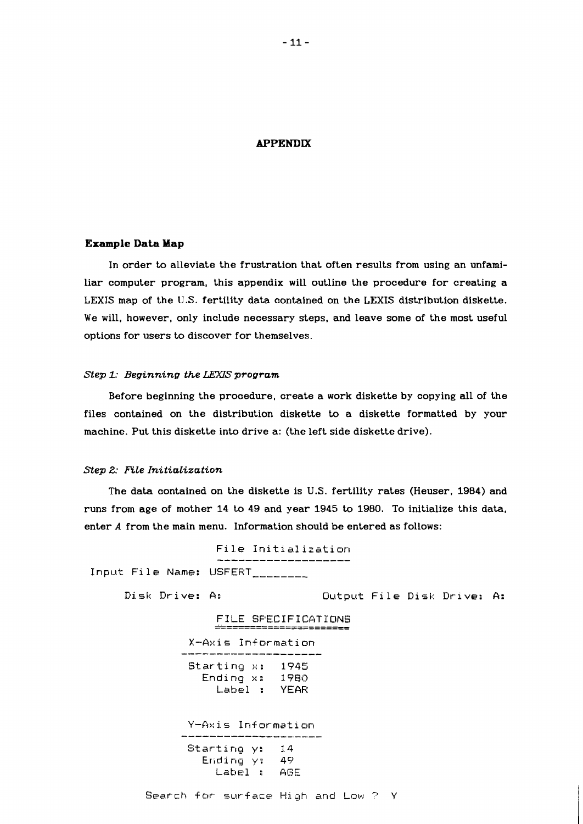# **APPENDIX**

# **Example Data Map**

In order to alleviate the frustration that often results from using an unfamiliar computer program, this appendix will outline the procedure for creating a LEXIS map of the U.S. fertility data contained on the LEXIS distribution diskette. We will, however, only include necessary steps, and leave some of the most useful options for users to discover for themselves.

# *Step 1: Beginning the* LEWS *program*

Before beginning the procedure, create a work diskette by copying all of the files contained on the distribution diskette to a diskette formatted by your machine. Put this diskette into drive a: (the left side diskette drive).

## *Step 2: FtLe InitiaLization*

The data contained on the diskette is U.S. fertility rates (Heuser, 1984) and runs from age of mother 14 to 49 and year 1945 to 1980. To initialize this data, enter **A** from the main menu. Information should be entered as follows:

|  | File Initialization                                                   |  |
|--|-----------------------------------------------------------------------|--|
|  |                                                                       |  |
|  | Input File Name: USFERT<br>and the contract and contract and contract |  |

Disk Drive: A: Output File Disk Drive: A:

FILE SPECIFICATIONS X-Axis Information<br>--------------------Starting x: **1945**  Ending **x: 1980**  Label : YEAF: Y-Axis Information Starting y: 14

```
Eriding y: 45) 
Label :: AGE
```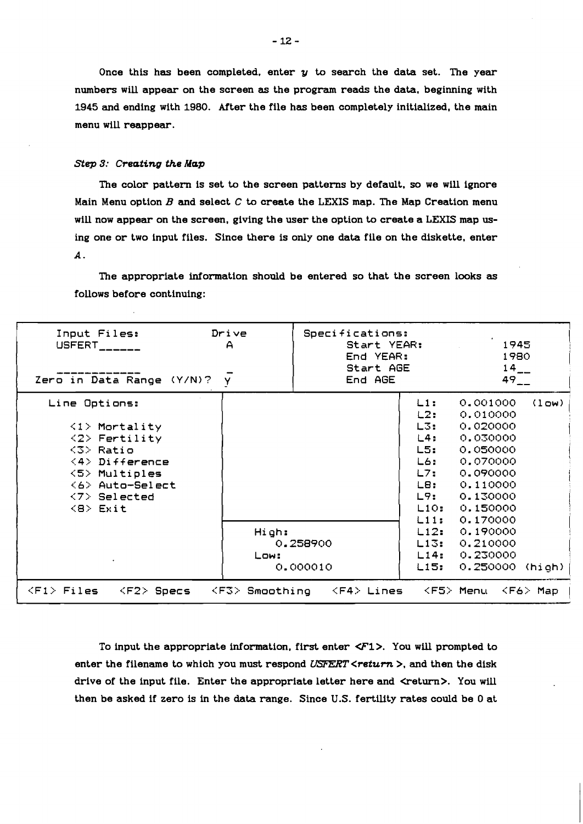# *Step 3: Creating the Map*

|                                                                                                                                                                      | $-12-$                                                                                                                                                                                                                                                                                                                                             |                                                                                                                                   |  |  |  |
|----------------------------------------------------------------------------------------------------------------------------------------------------------------------|----------------------------------------------------------------------------------------------------------------------------------------------------------------------------------------------------------------------------------------------------------------------------------------------------------------------------------------------------|-----------------------------------------------------------------------------------------------------------------------------------|--|--|--|
|                                                                                                                                                                      |                                                                                                                                                                                                                                                                                                                                                    |                                                                                                                                   |  |  |  |
| menu will reappear.                                                                                                                                                  | Once this has been completed, enter $y$ to search the data set. The year<br>numbers will appear on the screen as the program reads the data, beginning with<br>1945 and ending with 1980. After the file has been completely initialized, the main                                                                                                 |                                                                                                                                   |  |  |  |
| Step 3: Creating the Map                                                                                                                                             |                                                                                                                                                                                                                                                                                                                                                    |                                                                                                                                   |  |  |  |
|                                                                                                                                                                      | The color pattern is set to the screen patterns by default, so we will ignore<br>Main Menu option $B$ and select $C$ to create the LEXIS map. The Map Creation menu<br>will now appear on the screen, giving the user the option to create a LEXIS map us-<br>ing one or two input files. Since there is only one data file on the diskette, enter |                                                                                                                                   |  |  |  |
| <b>A.</b><br>follows before continuing:                                                                                                                              | The appropriate information should be entered so that the screen looks as                                                                                                                                                                                                                                                                          |                                                                                                                                   |  |  |  |
| Input Files:<br>USFERT <sub>______</sub>                                                                                                                             | Specifications:<br>Drive<br>Start YEAR:<br>А<br>End YEAR:                                                                                                                                                                                                                                                                                          | 1945<br>1980                                                                                                                      |  |  |  |
| Zero in Data Range $(Y/N)? \quad \bar{y}$<br>Line Options:                                                                                                           | Start AGE<br>End AGE                                                                                                                                                                                                                                                                                                                               | $14_{--}$<br>$49 -$<br>0.001000 (low)<br>$L1$ :                                                                                   |  |  |  |
| $\langle 1 \rangle$ Mortality<br>$\langle 2 \rangle$ Fertility<br>$<$ 3> Ratio<br>$\langle 4 \rangle$ Difference<br>$\langle 5 \rangle$ Multiples<br><6> Auto-Select |                                                                                                                                                                                                                                                                                                                                                    | L2:<br>0.010000<br>L3:<br>0.020000<br>L4:<br>0.030000<br>L5:<br>0.050000<br>0.070000<br>L6:<br>L7:<br>0.090000<br>L8:<br>0.110000 |  |  |  |
| $\langle 7 \rangle$ Selected<br>$\langle B \rangle$ Exit                                                                                                             | High:<br>0.258900                                                                                                                                                                                                                                                                                                                                  | L9:<br>0.130000<br>L10: 0.150000<br>0.170000<br>L11:<br>0.190000<br>L12:<br>L13:<br>0.210000                                      |  |  |  |
| $\sim$ 100 $\mu$                                                                                                                                                     | Low:<br>0.000010<br>$\langle F1\rangle$ Files $\langle F2\rangle$ Specs $\langle F3\rangle$ Smoothing $\langle F4\rangle$ Lines $\langle F5\rangle$ Menu $\langle F6\rangle$ Map                                                                                                                                                                   | 0.230000<br>L14:<br>L15: 0.250000 (high)                                                                                          |  |  |  |